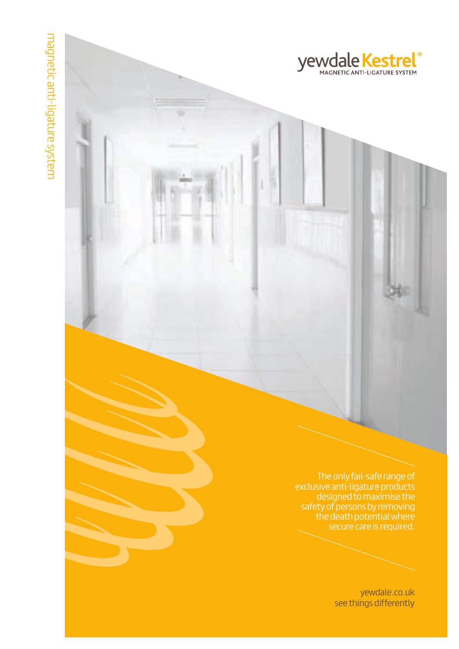The only fail-safe range of exclusive anti-ligature products designed to maximise the safety of persons by removing the death potential where secure care is required.

**yewdale Kestrel**®

yewdale.co.uk see things differently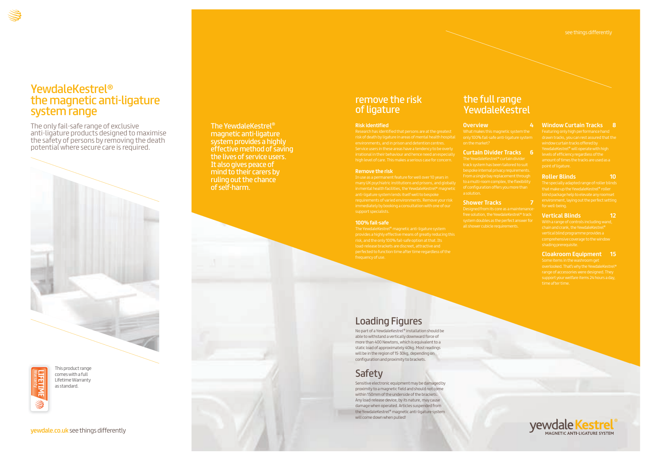# YewdaleKestrel® the magnetic anti-ligature system range

The only fail-safe range of exclusive anti-ligature products designed to maximise the safety of persons by removing the death potential where secure care is required.



yewdale.co.uk see things differently

The YewdaleKestrel® magnetic anti-ligature system provides a highly effective method of saving the lives of service users. It also gives peace of mind to their carers by ruling out the chance of self-harm.

# **Risk identified**

# **Remove the risk**

in mental health facilities, the YewdaleKestrel® magnetic

# **100% fail-safe**

# the full range **YewdaleKestrel**

risk, and the only 100% fail-safe option at that. Its

# Loading Figures

No part of a YewdaleKestrel® installation should be able to withstand a vertically downward force of more than 400 Newtons, which is equivalent to a static load of approximately 40kg. Most readings will be in the region of 15-30kg, depending on configuration and proximity to brackets.

# **Safety**

Sensitive electronic equipment may be damaged by proximity to a magnetic field and should not come within 150mm of the underside of the brackets. Any load-release device, by its nature, may cause damage when operated. Articles suspended from the YewdaleKestrel® magnetic anti-ligature system will come down when pulled!

# **Overview 4**

only 100% fail-safe anti-ligature system

on the market?

# **Curtain Divider Tracks 6**

# **Shower Tracks 7**

# remove the risk of ligature

# **Window Curtain Tracks 8**

# **Roller Blinds 10**

The specially adapted range of roller blinds that make up the YewdaleKestrel® roller

# **Vertical Blinds 12**

With a range of controls including wand,

# **Cloakroom Equipment 15**



This product range comes with a full Lifetime Warranty as standard.

# Warranty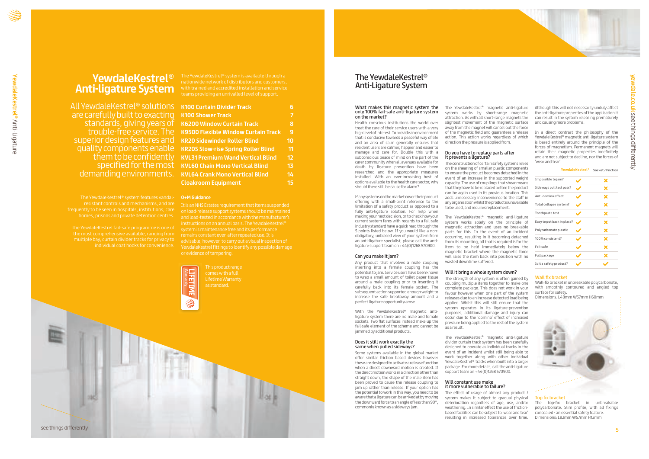# **YewdaleKestrel**® **Anti-ligature System**

resistant controls and mechanisms, and are homes, prisons and private detention centres.

multiple bay, curtain divider tracks for privacy to

are carefully built to exacting standards, giving years of superior design features and them to be confidently demanding environments.

# The YewdaleKestrel® Anti-Ligature System

# What makes this magnetic system the only 100% fail-safe anti-ligature system on the market?

Health conscious institutions the world over treat the care of their service users with a very high level of interest. To provide an environment that is conducive towards a peaceful way of life and an area of calm generally ensures that resident users are calmer, happier and easier to manage and care for. Double this with a subconscious peace of mind on the part of the carer community when all avenues available for death by ligature prevention have been researched and the appropriate measures installed. With an ever-increasing host of options available to the health care sector, why should there still be cause for alarm?

With the YewdaleKestrel® magnetic antiligature system there are no male and female sockets. Two flat surfaces instead make up the fail-safe element of the scheme and cannot be jammed by additional products.

Many systems on the market cover their product offering with a small-print reference to the limitation of a safety product as opposed to a fully anti-ligature solution. For help when making your next decision, or to check how your current system fares with regards to a fail-safe industry standard have a quick read through the 5 points listed below. If you would like a nonobligatory, unbiased view of your system from an anti-ligature specialist, please call the antiligature support team on +44(0)1268 570900.

# Can you make it jam?

Any product that involves a male coupling inserting into a female coupling has the potential to jam. Service users have been known to wrap a small amount of toilet paper tissue around a male coupling prior to inserting it carefully back into its female socket. The subsequent action supported enough weight to increase the safe breakaway amount and a perfect ligature opportunity arose.





# Does it still work exactly the same when pulled sideways?

The YewdaleKestrel® magnetic anti-ligature system works solely on the principle of magnetic attraction and uses no breakable parts for this. In the event of an incident occurring, resulting in it becoming detached from its mounting, all that is required is for the item to be held immediately below the magnetic bracket where the magnetic force will raise the item back into position with no wasted downtime suffered.

Some systems available in the global market offer similar friction based devices however these are designed to activate a release function when a direct downward motion is created. If the direct motion works in a direction other than straight down, the shape of the male item has been proved to cause the release coupling to iam up rather than release. If your option has the potential to work in this way, you need to be aware that a ligature can be arrived at by moving the downward force to an angle of less than 90°, commonly known as a sideways jam.

The effect of usage of almost any product / system makes it subject to gradual physical deterioration regardless of age, use, and/or weathering. In similar effect the use of frictionbased facilities can be subject to 'wear and tear' resulting in increased tolerances over time.

# **O+M Guidance**

Although this will not necessarily unduly affect the anti-ligature properties of the application it can result in the system releasing prematurely and causing more problems.

and load-tested in accordance with the manufacturer's

nationwide network of distributors and customers, with trained and accredited installation and service

# Wall fix bracket

Wall-fix bracket in unbreakable polycarbonate, with smoothly contoured and angled top surface for safety.

Dimensions: L48mm W37mm H60mm



# Top fix bracket

The top-fix bracket in unbreakable polycarbonate. Slim profile, with all fixings concealed - an essential safety feature. Dimensions: L82mm W57mm H12mm

The YewdaleKestrel® magnetic anti-ligature system works by short-range magnetic attraction. As with all short-range magnets the slightest movement of the magnetic surface away from the magnet will cancel out the force of the magnetic field and guarantees a release action. This action works regardless of which direction the pressure is applied from.

# Do you have to replace parts after it prevents a ligature?

The construction of certain safety systems relies on the shearing of smaller plastic components to ensure the product becomes detached in the event of an increase in the supported weight capacity. The use of couplings that shear means that they have to be replaced before the product can be again used in its previous location. This adds unnecessary inconvenience to the staff in any organisation whilst the product is unavailable to be used, and requires replacement.

# Will it bring a whole system down?

The strength of any system is often gained by coupling multiple items together to make one complete package. This does not work in your favour however when one part of the system releases due to an increase detected load being applied. Whilst this will still ensure that the system operates in its ligature-prevention purposes, additional damage and injury can occur due to the 'domino' effect of increased pressure being applied to the rest of the system as a result.

The YewdaleKestrel® magnetic anti-ligature divider curtain track system has been carefully designed to operate as individual tracks in the event of an incident whilst still being able to work together along with other individual YewdaleKestrel® tracks when built into a larger package. For more details, call the anti-ligature support team on +44(0)1268 570900.

# Will constant use make it more vulnerable to failure?

In a direct contrast the philosophy of the YewdaleKestrel® magnetic anti-ligature system is based entirely around the principle of the forces of magnetism. Permanent magnets will retain their magnetic properties indefinitely and are not subject to decline, nor the forces of 'wear and tear'.

| <b>YewdaleKestrel<sup>®</sup></b> |  | Socket / Friction |  |
|-----------------------------------|--|-------------------|--|
| Impossible to jam?                |  | x                 |  |
| Sideways pull test pass?          |  | X                 |  |
| Anti-domino effect                |  | X                 |  |
| Total collapse system?            |  | X                 |  |
| Toothpaste test                   |  | X                 |  |
| Easy to put back in place?        |  | X                 |  |
| Polycarbonate plastic             |  | X                 |  |
| 100% consistent?                  |  | X                 |  |
| Fail-safe                         |  | X                 |  |
| Full package                      |  | X                 |  |
| Is it a safety product?           |  |                   |  |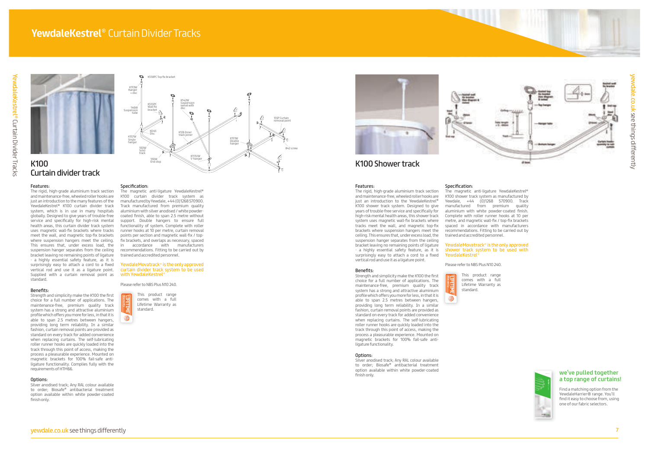





# K100 Curtain divider track

# K100 Shower track

# Features:

The rigid, high-grade aluminium track section and maintenance-free, wheeled roller hooks are just an introduction to the many features of the YewdaleKestrel ® K100 curtain divider track system, which is in use in many hospitals globally. Designed to give years of trouble-free service and specifically for high-risk mental health areas, this curtain divider track system uses magnetic wall-fix brackets where tracks meet the wall, and magnetic top-fix brackets where suspension hangers meet the ceiling. This ensures that, under excess load, the suspension hanger separates from the ceiling bracket leaving no remaining points of ligature - a highly essential safety feature, as it is surprisingly easy to attach a cord to a fixed vertical rod and use it as a ligature point. Supplied with a curtain removal point as standard.

# Benefits:

Strength and simplicity make the K100 the first choice for a full number of applications. The maintenance-free, premium quality track system has a strong and attractive aluminium profile which offers you more for less, in that it is able to span 2.5 metres between hangers, providing long term reliability. In a similar fashion, curtain removal points are provided as standard on every track for added convenience when replacing curtains. The self-lubricating roller runner hooks are quickly loaded into the track through this point of access, making the process a pleasurable experience. Mounted on magnetic brackets for 100% fail-safe antiligature functionality. Complies fully with the requirements of HTM66.

# Options:

Silver anodised track; Any RAL colour available to order; Biosafe ® antibacterial treatment option available within white powder-coated finish only.

# Features:

The rigid, high-grade aluminium track section and maintenance-free, wheeled roller hooks are just an introduction to the YewdaleKestrel ® K100 shower track system. Designed to give years of trouble-free service and specifically for high-risk mental health areas, this shower track system uses magnetic wall-fix brackets where tracks meet the wall, and magnetic top-fix brackets where suspension hangers meet the ceiling. This ensures that, under excess load, the suspension hanger separates from the ceiling bracket leaving no remaining points of ligature - a highly essential safety feature, as it is surprisingly easy to attach a cord to a fixed vertical rod and use it as a ligature point.

# Benefits:

Strength and simplicity make the K100 the first choice for a full number of applications. The maintenance-free, premium quality track system has a strong and attractive aluminium profile which offers you more for less, in that it is able to span 2.5 metres between hangers, providing long term reliability. In a similar fashion, curtain removal points are provided as standard on every track for added convenience when replacing curtains. The self-lubricating roller runner hooks are quickly loaded into the track through this point of access, making the process a pleasurable experience. Mounted on magnetic brackets for 100% fail-safe anti-

# ligature functionality.

## Options:

Silver anodised track; Any RAL colour available to order; Biosafe ® antibacterial treatment option available within white powder-coated finish only.

WarrantyS

# Specification:

The magnetic anti-ligature YewdaleKestrel ® K100 curtain divider track system as manufactured by Yewdale, +44 (0)1268 570900. Track manufactured from premium quality aluminium with silver anodised / white powdercoated finish, able to span 2.5 metre without support. Double hangers to ensure full functionality of system. Complete with roller runner hooks at 10 per metre, curtain removal points per section and magnetic wall-fix / topfix brackets, and overlaps as necessary, spaced in accordance with manufacturers recommendations. Fitting to be carried out by trained and accredited personnel.

# YewdaleMovatrack ® is the only approved curtain divider track system to be used with YewdaleKestrel ®

Please refer to NBS Plus N10 240.

# **we've pulled together a top range of curtains!**

Find a matching option from the YewdaleHarrier® range. You'll  $\blacksquare$  find it easy to choose from, using one of our fabric selectors. Products and specifications liable to change without notice E&OE ©Yewdale 2014 **amazon**fabric selector fabric selector **medway**fabric selector **roe**fabric selector



# Specification: The magnetic anti-ligature YewdaleKestrel ® K100 shower track system as manufactured by Yewdale, +44 (0)1268 570900. Track manufactured from premium quality aluminium with white powder-coated finish. Complete with roller runner hooks at 10 per metre, and magnetic wall-fix / top-fix brackets spaced in accordance with manufacturers recommendations. Fitting to be carried out by

trained and accredited personnel.

# YewdaleMovatrack ® is the only approved shower track system to be used with YewdaleKestrel ®

Please refer to NBS Plus N10 240.



This product range comes with a full Lifetime Warranty as standard.



Warranty



This product range comes with a full Lifetime Warranty as standard.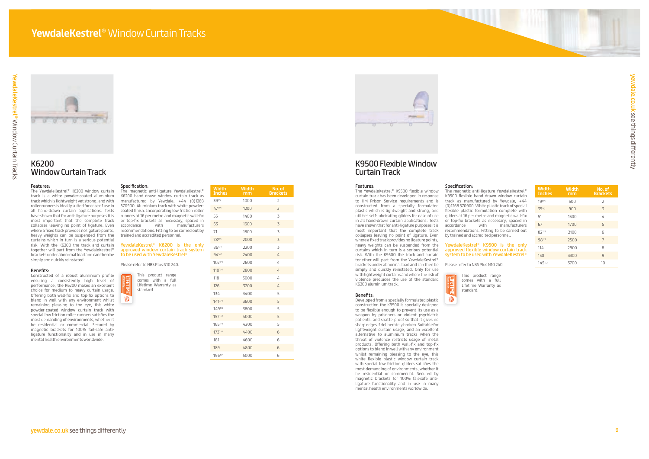



| <b>Width</b><br><b>Inches</b> | <b>Width</b><br>mm | No. of<br><b>Brackets</b> |
|-------------------------------|--------------------|---------------------------|
| 193/4                         | 500                | $\overline{2}$            |
| 351/2                         | 900                | 3                         |
| 51                            | 1300               | 4                         |
| 67                            | 1700               | 5                         |
| 823/4                         | 2100               | 6                         |
| 981/2                         | 2500               | $\overline{7}$            |
| 114                           | 2900               | 8                         |
| 130                           | 3300               | 9                         |
| 1451/2                        | 3700               | 10                        |

| <b>Width</b><br><b>Inches</b> | <b>Width</b><br>mm | No. of<br><b>Brackets</b> |
|-------------------------------|--------------------|---------------------------|
| 391/2                         | 1000               | $\overline{2}$            |
| 471/4                         | 1200               | $\overline{2}$            |
| 55                            | 1400               | 3                         |
| 63                            | 1600               | 3                         |
| 71                            | 1800               | 3                         |
| 783/4                         | 2000               | 3                         |
| 863/4                         | 2200               | 3                         |
| $94^{1/2}$                    | 2400               | 4                         |
| 1021/4                        | 2600               | 4                         |
| 1101/4                        | 2800               | 4                         |
| 118                           | 3000               | 4                         |
| 126                           | 3200               | 4                         |
| 134                           | 3400               | 5                         |
| $141^{3/4}$                   | 3600               | 5                         |
| 1491/2                        | 3800               | 5                         |
| 1571/2                        | 4000               | 5                         |
| 1651/4                        | 4200               | 5                         |
| 1731/4                        | 4400               | 6                         |
| 181                           | 4600               | 6                         |
| 189                           | 4800               | 6                         |
| 1963/4                        | 5000               | 6                         |



# K6200 Window Curtain Track

# Features:

The YewdaleKestrel ® K6200 window curtain track is a white powder-coated aluminium track which is lightweight yet strong, and with roller runners is ideally suited for ease of use in all hand-drawn curtain applications. Tests have shown that for anti-ligature purposes it is most important that the complete track collapses leaving no point of ligature. Even where a fixed track provides no ligature points, heavy weights can be suspended from the curtains which in turn is a serious potential risk. With the K6200 the track and curtain together will part from the YewdaleKestrel ® brackets under abnormal load and can then be simply and quickly reinstated.

# Benefits:

Constructed of a robust aluminium profile ensuring a consistently high level of performance, the K6200 makes an excellent choice for medium to heavy curtain usage. Offering both wall-fix and top-fix options to blend in well with any environment whilst remaining pleasing to the eye, this white powder-coated window curtain track with special low friction roller runners satisfies the most demanding of environments, whether it be residential or commercial. Secured by magnetic brackets for 100% fail-safe antiligature functionality and in use in many mental health environments worldwide.

# K9500 Flexible Window Curtain Track

# Features:

The YewdaleKestrel ® K9500 flexible window curtain track has been developed in response to HM Prison Service requirements and is constructed from a specially formulated plastic which is lightweight and strong, and utilises self-lubricating gliders for ease of use in all hand-drawn curtain applications. Tests have shown that for anti-ligature purposes it is most important that the complete track collapses leaving no point of ligature. Even where a fixed track provides no ligature points, heavy weights can be suspended from the curtains which in turn is a serious potential risk. With the K9500 the track and curtain together will part from the YewdaleKestrel ® brackets under abnormal load and can then be simply and quickly reinstated. Only for use with lightweight curtains and where the risk of violence precludes the use of the standard K6200 aluminium track.

# Benefits:

Developed from a specially formulated plastic construction the K9500 is specially designed to be flexible enough to prevent its use as a weapon by prisoners or violent psychiatric patients, and shatterproof so that it gives no sharp edges if deliberately broken. Suitable for lightweight curtain usage, and an excellent alternative to aluminium tracks when the threat of violence restricts usage of metal products. Offering both wall-fix and top-fix options to blend in well with any environment whilst remaining pleasing to the eye, this white flexible plastic window curtain track with special low friction gliders satisfies the most demanding of environments, whether it be residential or commercial. Secured by magnetic brackets for 100% fail-safe antiligature functionality and in use in many mental health environments worldwide.

# Specification:

The magnetic anti-ligature YewdaleKestrel ® K9500 flexible hand drawn window curtain track as manufactured by Yewdale, +44 (0)1268 570900. White plastic track of special flexible plastic formulation complete with gliders at 16 per metre and magnetic wall-fix or top-fix brackets as necessary, spaced in accordance with manufacturers

recommendations. Fitting to be carried out by trained and accredited personnel.

YewdaleKestrel ® K9500 is the only approved flexible window curtain track

# system to be used with YewdaleKestrel ®

Please refer to NBS Plus N10 240.

Warranty

₩

# Specification:

The magnetic anti-ligature YewdaleKestrel ® K6200 hand drawn window curtain track as manufactured by Yewdale, +44 (0)1268 570900. Aluminium track with white powdercoated finish. Incorporating low friction roller runners at 16 per metre and magnetic wall-fix or top-fix brackets as necessary, spaced in accordance with manufacturers recommendations. Fitting to be carried out by trained and accredited personnel.

# YewdaleKestrel ® K6200 is the only approved window curtain track system to be used with YewdaleKestrel ®

Please refer to NBS Plus N10 240.

This product range comes with a full Lifetime Warranty as standard.

Warranty

 $\mathfrak{B}$ 

This product range comes with a full Lifetime Warranty as standard.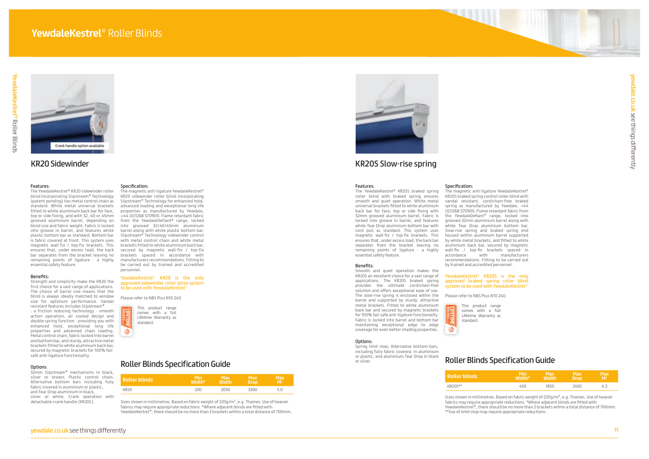

# KR20 Sidewinder

# Features:

The YewdaleKestrel® KR20 sidewinder roller blind incorporating Slipstream® Technology (patent pending) has metal control chain as standard. White metal universal brackets fitted to white aluminium back bar for face, top or side fixing, and with 32, 40 or 45mm grooved aluminium barrel, depending on blind size and fabric weight. Fabric is locked into groove in barrel, and features white plastic bottom bar as standard. Bottom bar is fabric covered at front. This system uses magnetic wall-fix / top-fix brackets. This ensures that, under excess load, the back bar separates from the bracket leaving no remaining points of ligature - a highly essential safety feature.

# Benefits:

# YewdaleKestrel® KR20 is the only approved sidewinder roller blind system to be used with YewdaleKestrel®

Strength and simplicity make the KR20 the first choice for a vast range of applications. The choice of barrel size means that the blind is always ideally matched to window size for optimum performance. Vandal resistant features includes Slipstream®

: a friction reducing technology - smooth action operation, air cooled design and double spring function - providing you with enhanced hold, exceptional long life properties and advanced chain loading. Metal control chain, fabric locked into barrel and bottom bar, and sturdy, attractive metal brackets fitted to white aluminium back bar, secured by magnetic brackets for 100% failsafe anti-ligature functionality.

# Options:

32mm Slipstream® mechanisms in black, silver or brown; Plastic control chain; Alternative bottom bars including fully fabric covered in aluminium or plastic, and Tear Drop aluminium in black, silver or white; Crank operation with detachable crank handle (KR20C).

Please refer to NBS Plus N10 240.

# Specification:

The magnetic anti-ligature YewdaleKestrel® KR20 sidewinder roller blind incorporating Slipstream® Technology for enhanced hold, advanced loading and exceptional long life properties as manufactured by Yewdale, +44 (0)1268 570900. Flame retardant fabric from the YewdaleDefiant® range, locked into grooved 32/40/45mm aluminium barrel along with white plastic bottom bar. Slipstream® Technology sidewinder control with metal control chain and white metal brackets fitted to white aluminium back bar, secured by magnetic wall-fix / top-fix brackets spaced in accordance with manufacturers recommendations. Fitting to be carried out by trained and accredited personnel.

# YewdaleKestrel® KR20S is the only approved braked spring roller blind system to be used with YewdaleKestrel®

# KR20S Slow-rise spring

# Features:

Sizes shown in millimetres. Based on fabric weight of 220g/m<sup>2</sup>, e.g. Thames. Use of heavier fabrics may require appropriate reductions. \*Where adjacent blinds are fitted with YewdaleKestrel®, there should be no more than 2 brackets within a total distance of 700mm.



The YewdaleKestrel® KR20S braked spring roller blind with braked spring ensures smooth and quiet operation. White metal universal brackets fitted to white aluminium back bar for face, top or side fixing with 32mm grooved aluminium barrel. Fabric is locked into groove in barrel, and features white Tear Drop aluminium bottom bar with cord pull as standard. This system uses magnetic wall-fix / top-fix brackets. This ensures that, under excess load, the back bar separates from the bracket leaving no remaining points of ligature - a highly essential safety feature.

# Benefits:

Smooth and quiet operation makes the KR20S an excellent choice for a vast range of applications. The KR20S braked spring provides the ultimate cord/chain-free solution and offers exceptional ease of use. The slow-rise spring is enclosed within the barrel and supported by sturdy, attractive metal brackets. Fitted to white aluminium back bar and secured by magnetic brackets for 100% fail-safe anti-ligature functionality. Fabric is locked into barrel and bottom bar maintaining exceptional edge to edge

# Ontions.

coverage for even better shading properties.

Spring limit stop; Alternative bottom bars, including fully fabric covered, in aluminium or plastic, and aluminium Tear Drop in black or silver.

# Specification:

The magnetic anti-ligature YewdaleKestrel®

KR20S braked spring control roller blind with vandal resistant, cord/chain-free braked spring as manufactured by Yewdale, +44 (0)1268 570900. Flame retardant fabric from the YewdaleDefiant® range, locked into grooved 32mm aluminium barrel along with white Tear Drop aluminium bottom bar. Slow-rise spring and braked spring end housed within aluminium barrel supported by white metal brackets, and fitted to white aluminium back bar, secured by magnetic wall-fix / top-fix brackets spaced in accordance with manufacturers recommendations. Fitting to be carried out by trained and accredited personnel.

Please refer to NBS Plus N10 240.

# Roller Blinds Specification Guide

# **Roller blinds**

| <b>Roller blinds</b> | <b>Min</b> | <b>Max</b>   | Max         | Max            |
|----------------------|------------|--------------|-------------|----------------|
|                      | Width*     | <b>Width</b> | <b>Drop</b> | M <sup>2</sup> |
| KR20S**              | 450.       | 1850         | 2450        |                |

Sizes shown in millimetres. Based on fabric weight of 220g/m², e.g. Thames. Use of heavier fabrics may require appropriate reductions. \*Where adjacent blinds are fitted with YewdaleKestrel®, there should be no more than 2 brackets within a total distance of 700mm. \*\*Use of limit stop may require appropriate reductions.

# Roller Blinds Specification Guide

| Mir<br>wriir. | Width |      | M <sup>2</sup> |
|---------------|-------|------|----------------|
|               | חבר   | 3N C |                |

# Crank handle option available

This product range comes with a full Lifetime Warranty as standard.

Warranty

₩

This product range comes with a full Lifetime Warranty as standard.

# ₩

Warranty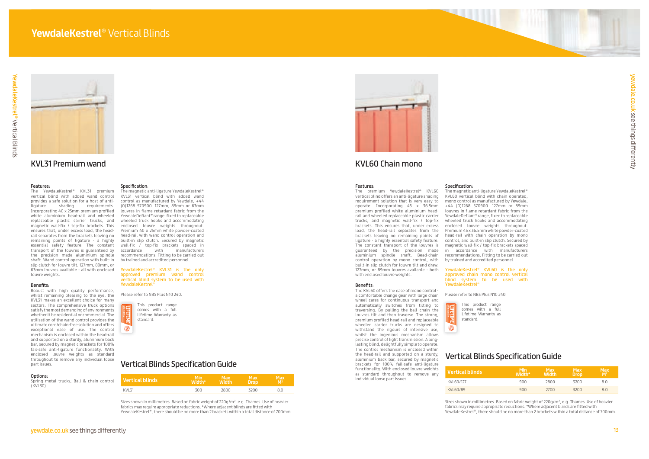



|        | <b>Vertical blinds</b> | Min<br><b>Width*</b> | Max<br>Width' | Max<br><b>\Drop</b> | Max<br>M <sup>2</sup> |
|--------|------------------------|----------------------|---------------|---------------------|-----------------------|
| KVI 31 |                        | חחד                  | วลกก          | 32NN                |                       |

| Vertical blinds | <b>Min</b><br>Width* | Max<br><b>Width</b> | <b>Max</b><br><b>Drop</b> | <b>Max</b><br>M <sup>2</sup> |
|-----------------|----------------------|---------------------|---------------------------|------------------------------|
| KVL60/127       | 900                  | 2800                | 3200                      | 8.0                          |
| KVL60/89        | 900                  | 2700                | 3200                      | 8.0                          |

# KVL31 Premium wand

# Features:

The YewdaleKestrel® KVL31 premium vertical blind with added wand control provides a safe solution for a host of anti-<br>ligature shading requirements. ligature shading requirements. Incorporating 40 x 25mm premium profiled white aluminium head-rail and wheeled replaceable plastic carrier trucks, and magnetic wall-fix / top-fix brackets. This ensures that, under excess load, the headrail separates from the brackets leaving no remaining points of ligature - a highly essential safety feature. The constant transport of the louvres is guaranteed by the precision made aluminium spindle shaft. Wand control operation with built-in slip clutch for louvre tilt. 127mm, 89mm, or 63mm louvres available - all with enclosed louvre weights.

Spring metal trucks; Ball & chain control  $(KV130)$ 

# Benefits:

YewdaleKestrel® KVL31 is the only approved premium wand control vertical blind system to be used with YewdaleKestrel®

Robust with high quality performance, whilst remaining pleasing to the eye, the KVL31 makes an excellent choice for many sectors. The comprehensive truck options satisfy the most demanding of environments whether it be residential or commercial. The utilisation of the wand control provides the ultimate cord/chain-free solution and offers exceptional ease of use. The control mechanism is enclosed within the head-rail and supported on a sturdy, aluminium back bar, secured by magnetic brackets for 100% fail-safe anti-ligature functionality. With enclosed louvre weights as standard throughout to remove any individual loose part issues.

# Options:

# Specification:

The KVL60 offers the ease of mono control a comfortable change gear with large chain wheel cares for continuous transport and automatically switches from tilting to traversing. By pulling the ball chain the louvres tilt and then traverse. The strong, premium profiled head-rail and replaceable wheeled carrier trucks are designed to withstand the rigours of intensive use, whilst the ingenious mechanism allows precise control of light transmission. A longlasting blind, delightfully simple to operate. The control mechanism is enclosed within the head-rail and supported on a sturdy, aluminium back bar, secured by magnetic brackets for 100% fail-safe anti-ligature functionality. With enclosed louvre weights as standard throughout to remove any individual loose part issues.

The magnetic anti-ligature YewdaleKestrel® KVL31 vertical blind with added wand control as manufactured by Yewdale, +44 (0)1268 570900. 127mm, 89mm or 63mm louvres in flame retardant fabric from the YewdaleDefiant® range, fixed to replaceable wheeled truck hooks and accommodating enclosed louvre weights throughout. Premium 40 x 25mm white powder-coated head-rail with wand control operation and built-in slip clutch. Secured by magnetic wall-fix / top-fix brackets spaced in accordance with manufacturers recommendations. Fitting to be carried out by trained and accredited personnel.

Please refer to NBS Plus N10 240.

# KVL60 Chain mono

# Features:

Sizes shown in millimetres. Based on fabric weight of 220g/m<sup>2</sup>, e.g. Thames. Use of heavier fabrics may require appropriate reductions. \*Where adjacent blinds are fitted with YewdaleKestrel®, there should be no more than 2 brackets within a total distance of 700mm.



This product range comes with a full Lifetime Warranty as standard. ⇛

Warranty

The premium YewdaleKestrel® KVL60 vertical blind offers an anti-ligature shading requirement solution that is very easy to operate. Incorporating 45 x 36.5mm premium profiled white aluminium headrail and wheeled replaceable plastic carrier trucks, and magnetic wall-fix / top-fix brackets. This ensures that, under excess load, the head-rail separates from the brackets leaving no remaining points of ligature - a highly essential safety feature. The constant transport of the louvres is guaranteed by the precision made aluminium spindle shaft. Bead-chain control operation by mono control, with built-in slip clutch for louvre tilt and draw. 127mm, or 89mm louvres available - both with enclosed louvre weights.

# Benefits:

# Specification:

The magnetic anti-ligature YewdaleKestrel® KVL60 vertical blind with chain operated, mono control as manufactured by Yewdale, +44 (0)1268 570900. 127mm or 89mm louvres in flame retardant fabric from the YewdaleDefiant® range, fixed to replaceable wheeled truck hooks and accommodating enclosed louvre weights throughout. Premium 45 x 36.5mm white powder-coated head-rail with chain operation by mono control, and built-in slip clutch. Secured by magnetic wall-fix / top-fix brackets spaced in accordance with manufacturers recommendations. Fitting to be carried out by trained and accredited personnel.

# YewdaleKestrel® KVL60 is the only approved chain mono control vertical blind system to be used with YewdaleKestrel®

Please refer to NBS Plus N10 240.

# Vertical Blinds Specification Guide

# Vertical Blinds Specification Guide

| <b>Vertical blinds</b> |
|------------------------|
| KVI 60/127             |
| KVL60/89               |

Sizes shown in millimetres. Based on fabric weight of 220g/m², e.g. Thames. Use of heavier fabrics may require appropriate reductions. \*Where adjacent blinds are fitted with YewdaleKestrel®, there should be no more than 2 brackets within a total distance of 700mm.

This product range comes with a full Lifetime Warranty as standard.



Warranty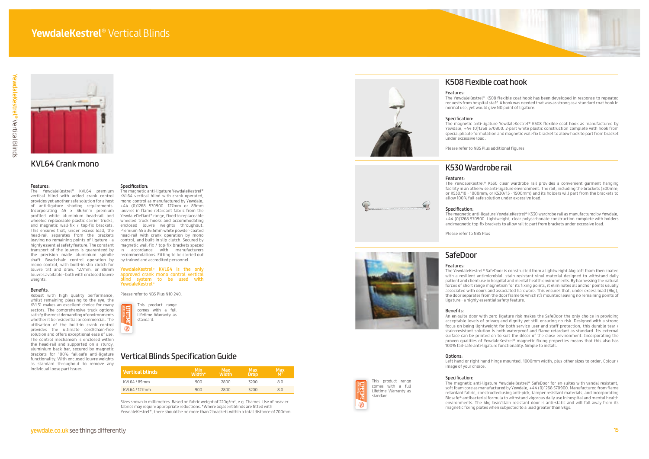



# KVL64 Crank mono

# Features:

The YewdaleKestrel ® KVL64 premium vertical blind with added crank control provides yet another safe solution for a host of anti-ligature shading requirements. Incorporating 45 x 36.5mm premium profiled white aluminium head-rail and wheeled replaceable plastic carrier trucks, and magnetic wall-fix / top-fix brackets. This ensures that, under excess load, the head-rail separates from the brackets leaving no remaining points of ligature - a highly essential safety feature. The constant transport of the louvres is guaranteed by the precision made aluminium spindle shaft. Bead-chain control operation by mono control, with built-in slip clutch for louvre tilt and draw. 127mm, or 89mm louvres available - both with enclosed louvre weights.

# Benefits :

Robust with high quality performance, whilst remaining pleasing to the eye, the KVL31 makes an excellent choice for many sectors. The comprehensive truck options satisfy the most demanding of environments whether it be residential or commercial. The utilisation of the built-in crank control provides the ultimate cord/chain-free solution and offers exceptional ease of use. The control mechanism is enclosed within the head-rail and supported on a sturdy, aluminium back bar, secured by magnetic brackets for 100% fail-safe anti-ligature functionality. With enclosed louvre weights as standard throughout to remove any individual loose part issues

This product range comes with a full Lifetime Warranty as standard.

 $\mathfrak{B}$ 

# Specification:

The magnetic anti-ligature YewdaleKestrel ® KVL64 vertical blind with crank operated, mono control as manufactured by Yewdale, +44 (0)1268 570900. 127mm or 89mm louvres in flame retardant fabric from the YewdaleDefiant ® range, fixed to replaceable wheeled truck hooks and accommodating enclosed louvre weights throughout. Premium 45 x 36.5mm white powder-coated head-rail with crank operation by mono control, and built-in slip clutch. Secured by magnetic wall-fix / top-fix brackets spaced in accordance with manufacturers recommendations. Fitting to be carried out by trained and accredited personnel.

# YewdaleKestrel ® KVL64 is the only approved crank mono control vertical blind system to be used with YewdaleKestrel ®

Please refer to NBS Plus N10 240.

| l Vertical blinds i | Min<br>Width* | <b>Max</b><br><b>Width</b> | <b>Max</b><br><b>Drop</b> | Max<br>M <sup>2</sup> |
|---------------------|---------------|----------------------------|---------------------------|-----------------------|
| KVI 64 / 89mm       | 900           | 2800                       | 3200                      | 8.0                   |
| KVI 64/127mm        | 900           | 2800                       | 3200                      | 8.0                   |

# Vertical Blinds Specification Guide

Sizes shown in millimetres. Based on fabric weight of 220g/m², e.g. Thames. Use of heavier fabrics may require appropriate reductions. \*Where adjacent blinds are fitted with YewdaleKestrel ®, there should be no more than 2 brackets within a total distance of 700mm.



Warranty

# K508 Flexible coat hook

# Features:

The YewdaleKestrel ® K508 flexible coat hook has been developed in response to repeated requests from hospital staff. A hook was needed that was as strong as a standard coat hook in normal use, yet would give NO point of ligature.

# Specification:

The magnetic anti-ligature YewdaleKestrel ® K508 flexible coat hook as manufactured by Yewdale, +44 (0)1268 570900. 2-part white plastic construction complete with hook from special pliable formulation and magnetic wall-fix bracket to allow hook to part from bracket

under excessive load.

Please refer to NBS Plus additional figures

# K530 Wardrobe rail

# Features:

 $\left($ 

The YewdaleKestrel ® K530 clear wardrobe rail provides a convenient garment hanging facility in an otherwise anti-ligature environment. The rail, including the brackets (500mm; or K530/10 - 1000mm; or K530/15 - 1500mm) and its holders will part from the brackets to allow 100% fail-safe solution under excessive load.

# Specification:

The magnetic anti-ligature YewdaleKestrel ® K530 wardrobe rail as manufactured by Yewdale, +44 (0)1268 570900. Lightweight, clear polycarbonate construction complete with holders and magnetic top-fix brackets to allow rail to part from brackets under excessive load.

Please refer to NBS Plus

# SafeDoor

# Features:

The YewdaleKestrel ® SafeDoor is constructed from a lightweight 4kg soft foam then coated with a resilient antimicrobial, stain resistant vinyl material designed to withstand daily patient and client use in hospital and mental health environments. By harnessing the natural forces of short range magnetism for its fixing points, it eliminates all anchor points usually associated with doors and associated hardware. This ensures that, under excess load (9kg), the door separates from the door frame to which it's mounted leaving no remaining points of

ligature - a highly essential safety feature.

# Benefits:

An en-suite door with zero ligature risk makes the SafeDoor the only choice in providing acceptable levels of privacy and dignity yet still ensuring no risk. Designed with a strong focus on being lightweight for both service user and staff protection, this durable tear / stain-resistant solution is both waterproof and flame retardant as standard. Its external surface can be printed on to suit the décor of the close environment. Incorporating the proven qualities of YewdaleKestrel ® magnetic fixing properties means that this also has 100% fail-safe anti-ligature functionality. Simple to install.

# Options:

Left hand or right hand hinge mounted; 1000mm width, plus other sizes to order; Colour /

image of your choice.

# Specification:

The magnetic anti-ligature YewdaleKestrel ® SafeDoor for en-suites with vandal resistant, soft foam core as manufactured by Yewdale, +44 (0)1268 570900. Manufactured from flame retardant fabric, constructed using anti-pick, tamper resistant materials, and incorporating Biosafe ® antibacterial formula to withstand vigorous daily use in hospital and mental health environments. The 4kg tear/stain resistant door is anti-static and will fall away from its magnetic fixing plates when subjected to a load greater than 9kgs.

This product range comes with a full Lifetime Warranty as

standard.

Warranty

Z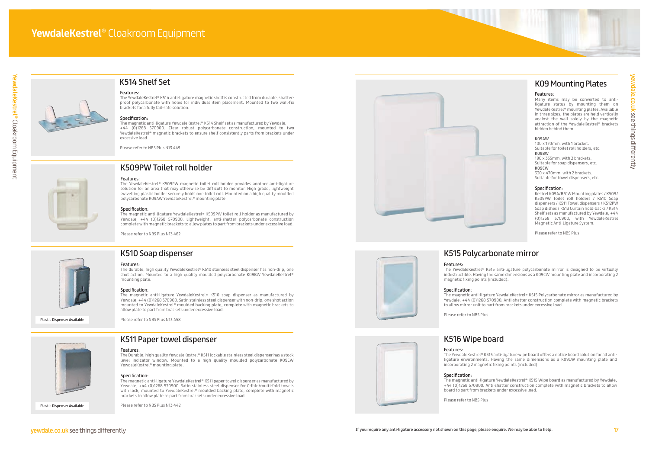

# K510 Soap dispenser

# Features:

The durable, high quality YewdaleKestrel® K510 stainless steel dispenser has non-drip, one shot action. Mounted to a high quality moulded polycarbonate K09BW YewdaleKestrel® mounting plate.

# Specification:

The magnetic anti-ligature YewdaleKestrel® K511 paper towel dispenser as manufactured by Yewdale, +44 (0)1268 570900. Satin stainless steel dispenser for C-fold/multi-fold towels with lock, mounted to YewdaleKestrel® moulded backing plate, complete with magnetic

The magnetic anti-ligature YewdaleKestrel® K510 soap dispenser as manufactured by Yewdale, +44 (0)1268 570900. Satin stainless steel dispenser with non-drip, one shot action mounted to YewdaleKestrel® moulded backing plate, complete with magnetic brackets to allow plate to part from brackets under excessive load.

Please refer to NBS Plus N13 458



Features:

The Durable, high quality YewdaleKestrel® K511 lockable stainless steel dispenser has a stock level indicator window. Mounted to a high quality moulded polycarbonate K09CW

YewdaleKestrel® mounting plate.

Specification:

brackets to allow plate to part from brackets under excessive load.

Please refer to NBS Plus N13 442

# K509PW Toilet roll holder

# Features:

The YewdaleKestrel® K509PW magnetic toilet roll holder provides another anti-ligature solution for an area that may otherwise be difficult to monitor. High grade, lightweight swivelling plastic holder securely holds one toilet roll. Mounted on a high quality moulded polycarbonate K09AW YewdaleKestrel® mounting plate.

# Specification:

The magnetic anti-ligature YewdaleKestrel® K509PW toilet roll holder as manufactured by Yewdale, +44 (0)1268 570900. Lightweight, anti-shatter polycarbonate construction complete with magnetic brackets to allow plates to part from brackets under excessive load.

Please refer to NBS Plus N13 462



K511 Paper towel dispenser



# K514 Shelf Set

# Features:

The YewdaleKestrel® K514 anti-ligature magnetic shelf is constructed from durable, shatterproof polycarbonate with holes for individual item placement. Mounted to two wall-fix brackets for a fully fail-safe solution.

# Specification:

The magnetic anti-ligature YewdaleKestrel® K514 Shelf set as manufactured by Yewdale, +44 (0)1268 570900. Clear robust polycarbonate construction, mounted to two YewdaleKestrel® magnetic brackets to ensure shelf consistently parts from brackets under excessive load.

Please refer to NBS Plus N13 449

Plastic Dispenser Available

Plastic Dispenser Available

# K515 Polycarbonate mirror

Features: The YewdaleKestrel® K515 anti-ligature polycarbonate mirror is designed to be virtually indestructible. Having the same dimensions as a K09CW mounting plate and incorporating 2 magnetic fixing points (included).

# Specification:

The magnetic anti-ligature YewdaleKestrel® K515 Polycarbonate mirror as manufactured by Yewdale, +44 (0)1268 570900. Anti-shatter construction complete with magnetic brackets to allow mirror unit to part from brackets under excessive load.

Please refer to NBS Plus

# K516 Wipe board

# Features:

The YewdaleKestrel® K515 anti-ligature wipe board offers a notice board solution for all antiligature environments. Having the same dimensions as a K09CW mounting plate and incorporating 2 magnetic fixing points (included).

# Specification:

The magnetic anti-ligature YewdaleKestrel® K515 Wipe board as manufactured by Yewdale, +44 (0)1268 570900. Anti-shatter construction complete with magnetic brackets to allow board to part from brackets under excessive load.

Please refer to NBS Plus



# K09 Mounting Plates

# Features:

Many items may be converted to antiligature status by mounting them on YewdaleKestrel® mounting plates. Available in three sizes, the plates are held vertically against the wall solely by the magnetic attraction of the YewdaleKestrel® brackets hidden behind them.

# K09AW

100 x 170mm, with 1 bracket. Suitable for toilet roll holders, etc. K09BW 190 x 335mm, with 2 brackets. Suitable for soap dispensers, etc. K09CW 330 x 470mm, with 2 brackets. Suitable for towel dispensers, etc.

# Specification:

Kestrel K09A/B/CW Mounting plates / K509/ K509PW Toilet roll holders / K510 Soap dispensers / K511 Towel dispensers / K512PW Soap dishes / K513 Curtain hold-backs / K514 Shelf sets as manufactured by Yewdale, +44 (0)1268 570900, with YewdaleKestrel Magnetic Anti-Ligature System.

Please refer to NBS Plus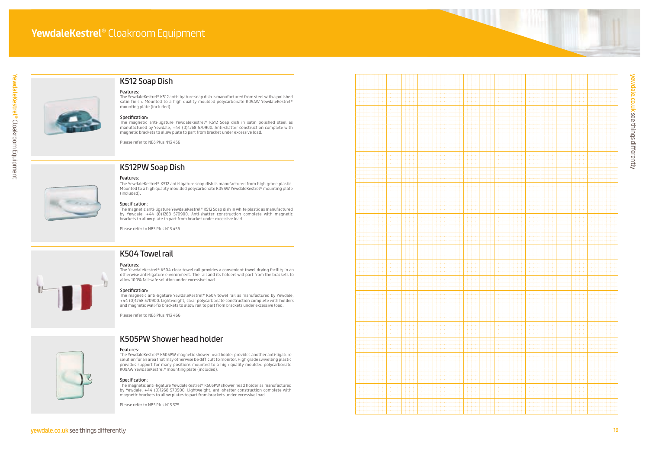



# K512 Soap Dish

# K512PW Soap Dish

# Features:

The YewdaleKestrel ® K512 anti-ligature soap dish is manufactured from high grade plastic. Mounted to a high quality moulded polycarbonate K09AW YewdaleKestrel ® mounting plate (included).

# Specification:

The magnetic anti-ligature YewdaleKestrel ® K512 Soap dish in white plastic as manufactured by Yewdale, +44 (0)1268 570900. Anti-shatter construction complete with magnetic brackets to allow plate to part from bracket under excessive load.



Please refer to NBS Plus N13 456



# Features:

The YewdaleKestrel ® K512 anti-ligature soap dish is manufactured from steel with a polished satin finish. Mounted to a high quality moulded polycarbonate K09AW YewdaleKestrel ® mounting plate (included).

# Specification:

The magnetic anti-ligature YewdaleKestrel ® K512 Soap dish in satin polished steel as manufactured by Yewdale, +44 (0)1268 570900. Anti-shatter construction complete with magnetic brackets to allow plate to part from bracket under excessive load.

Please refer to NBS Plus N13 456



# K504 Towel rail

# Features:

The YewdaleKestrel ® K504 clear towel rail provides a convenient towel drying facility in an otherwise anti-ligature environment. The rail and its holders will part from the brackets to allow 100% fail-safe solution under excessive load.

# Specification:

The magnetic anti-ligature YewdaleKestrel ® K504 towel rail as manufactured by Yewdale, +44 (0)1268 570900. Lightweight, clear polycarbonate construction complete with holders and magnetic wall-fix brackets to allow rail to part from brackets under excessive load.

Please refer to NBS Plus N13 466



# K505PW Shower head holder

# Features :

The YewdaleKestrel ® K505PW magnetic shower head holder provides another anti-ligature solution for an area that may otherwise be difficult to monitor. High grade swivelling plastic provides support for many positions mounted to a high quality moulded polycarbonate K09AW YewdaleKestrel ® mounting plate (included).

# Specification:

The magnetic anti-ligature YewdaleKestrel ® K505PW shower head holder as manufactured by Yewdale, +44 (0)1268 570900. Lightweight, anti-shatter construction complete with magnetic brackets to allow plates to part from brackets under excessive load.

Please refer to NBS Plus N13 375